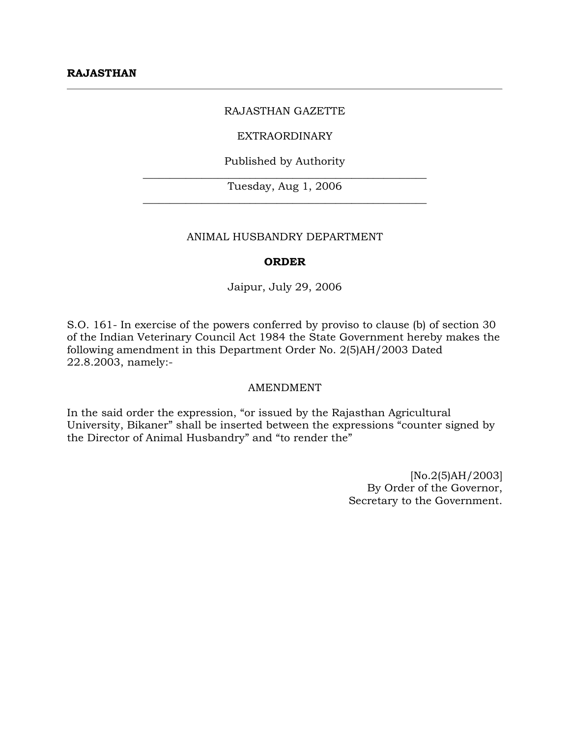### RAJASTHAN GAZETTE

#### EXTRAORDINARY

Published by Authority  $\_$  , and the set of the set of the set of the set of the set of the set of the set of the set of the set of the set of the set of the set of the set of the set of the set of the set of the set of the set of the set of th

Tuesday, Aug 1, 2006  $\_$  , and the set of the set of the set of the set of the set of the set of the set of the set of the set of the set of the set of the set of the set of the set of the set of the set of the set of the set of the set of th

#### ANIMAL HUSBANDRY DEPARTMENT

### **ORDER**

Jaipur, July 29, 2006

S.O. 161- In exercise of the powers conferred by proviso to clause (b) of section 30 of the Indian Veterinary Council Act 1984 the State Government hereby makes the following amendment in this Department Order No. 2(5)AH/2003 Dated 22.8.2003, namely:-

#### AMENDMENT

In the said order the expression, "or issued by the Rajasthan Agricultural University, Bikaner" shall be inserted between the expressions "counter signed by the Director of Animal Husbandry" and "to render the"

> [No.2(5)AH/2003] By Order of the Governor, Secretary to the Government.